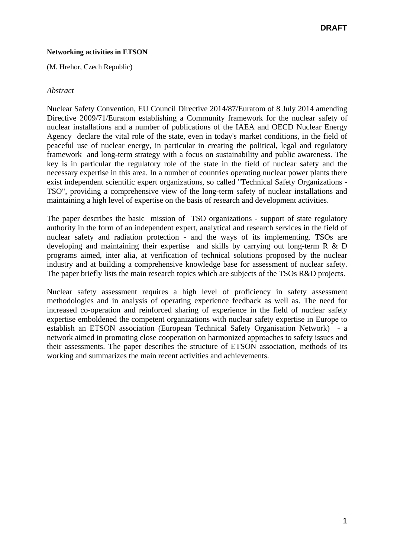#### **Networking activities in ETSON**

(M. Hrehor, Czech Republic)

#### *Abstract*

Nuclear Safety Convention, EU Council Directive 2014/87/Euratom of 8 July 2014 amending Directive 2009/71/Euratom establishing a Community framework for the nuclear safety of nuclear installations and a number of publications of the IAEA and OECD Nuclear Energy Agency declare the vital role of the state, even in today's market conditions, in the field of peaceful use of nuclear energy, in particular in creating the political, legal and regulatory framework and long-term strategy with a focus on sustainability and public awareness. The key is in particular the regulatory role of the state in the field of nuclear safety and the necessary expertise in this area. In a number of countries operating nuclear power plants there exist independent scientific expert organizations, so called "Technical Safety Organizations - TSO", providing a comprehensive view of the long-term safety of nuclear installations and maintaining a high level of expertise on the basis of research and development activities.

The paper describes the basic mission of TSO organizations - support of state regulatory authority in the form of an independent expert, analytical and research services in the field of nuclear safety and radiation protection - and the ways of its implementing. TSOs are developing and maintaining their expertise and skills by carrying out long-term R & D programs aimed, inter alia, at verification of technical solutions proposed by the nuclear industry and at building a comprehensive knowledge base for assessment of nuclear safety. The paper briefly lists the main research topics which are subjects of the TSOs R&D projects.

Nuclear safety assessment requires a high level of proficiency in safety assessment methodologies and in analysis of operating experience feedback as well as. The need for increased co-operation and reinforced sharing of experience in the field of nuclear safety expertise emboldened the competent organizations with nuclear safety expertise in Europe to establish an ETSON association (European Technical Safety Organisation Network) - a network aimed in promoting close cooperation on harmonized approaches to safety issues and their assessments. The paper describes the structure of ETSON association, methods of its working and summarizes the main recent activities and achievements.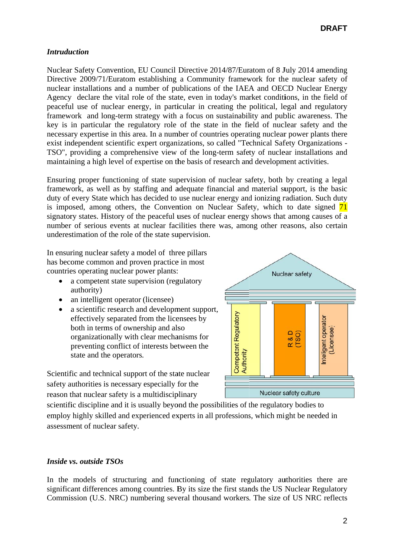# **Intruduction**

Nuclear Safety Convention, EU Council Directive 2014/87/Euratom of 8 July 2014 amending Directive 2009/71/Euratom establishing a Community framework for the nuclear safety of nuclear installations and a number of publications of the IAEA and OECD Nuclear Energy Agency declare the vital role of the state, even in today's market conditions, in the field of peaceful use of nuclear energy, in particular in creating the political, legal and regulatory framework and long-term strategy with a focus on sustainability and public awareness. The key is in particular the regulatory role of the state in the field of nuclear safety and the necessary expertise in this area. In a number of countries operating nuclear power plants there exist independent scientific expert organizations, so called "Technical Safety Organizations -TSO", providing a comprehensive view of the long-term safety of nuclear installations and maintaining a high level of expertise on the basis of research and development activities.

Ensuring proper functioning of state supervision of nuclear safety, both by creating a legal framework, as well as by staffing and adequate financial and material support, is the basic duty of every State which has decided to use nuclear energy and ionizing radiation. Such duty is imposed, among others, the Convention on Nuclear Safety, which to date signed  $\overline{71}$ signatory states. History of the peaceful uses of nuclear energy shows that among causes of a number of serious events at nuclear facilities there was, among other reasons, also certain underestimation of the role of the state supervision.

In ensuring nuclear safety a model of three pillars has become common and proven practice in most countries operating nuclear power plants:

- a competent state supervision (regulatory authority)
- an intelligent operator (licensee)
- a scientific research and development support,  $\bullet$ effectively separated from the licensees by both in terms of ownership and also organizationally with clear mechanisms for preventing conflict of interests between the state and the operators.

Scientific and technical support of the state nuclear safety authorities is necessary especially for the reason that nuclear safety is a multidisciplinary



scientific discipline and it is usually beyond the possibilities of the regulatory bodies to employ highly skilled and experienced experts in all professions, which might be needed in assessment of nuclear safety.

# Inside vs. outside TSOs

In the models of structuring and functioning of state regulatory authorities there are significant differences among countries. By its size the first stands the US Nuclear Regulatory Commission (U.S. NRC) numbering several thousand workers. The size of US NRC reflects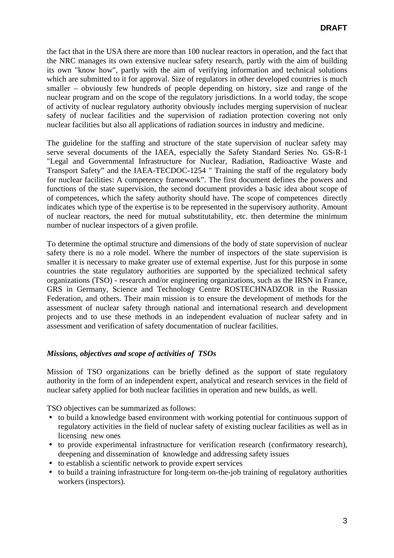the fact that in the USA there are more than 100 nuclear reactors in operation, and the fact that the NRC manages its own extensive nuclear safety research, partly with the aim of building its own "know how", partly with the aim of verifying information and technical solutions which are submitted to it for approval. Size of regulators in other developed countries is much smaller – obviously few hundreds of people depending on history, size and range of the nuclear program and on the scope of the regulatory jurisdictions. In a world today, the scope of activity of nuclear regulatory authority obviously includes merging supervision of nuclear safety of nuclear facilities and the supervision of radiation protection covering not only nuclear facilities but also all applications of radiation sources in industry and medicine.

The guideline for the staffing and structure of the state supervision of nuclear safety may serve several documents of the IAEA, especially the Safety Standard Series No. GS-R-1 "Legal and Governmental Infrastructure for Nuclear, Radiation, Radioactive Waste and Transport Safety" and the IAEA-TECDOC-1254 " Training the staff of the regulatory body for nuclear facilities: A competency framework". The first document defines the powers and functions of the state supervision, the second document provides a basic idea about scope of of competences, which the safety authority should have. The scope of competences directly indicates which type of the expertise is to be represented in the supervisory authority. Amount of nuclear reactors, the need for mutual substitutability, etc. then determine the minimum number of nuclear inspectors of a given profile.

To determine the optimal structure and dimensions of the body of state supervision of nuclear safety there is no a role model. Where the number of inspectors of the state supervision is smaller it is necessary to make greater use of external expertise. Just for this purpose in some countries the state regulatory authorities are supported by the specialized technical safety organizations (TSO) - research and/or engineering organizations, such as the IRSN in France, GRS in Germany, Science and Technology Centre ROSTECHNADZOR in the Russian Federation, and others. Their main mission is to ensure the development of methods for the assessment of nuclear safety through national and international research and development projects and to use these methods in an independent evaluation of nuclear safety and in assessment and verification of safety documentation of nuclear facilities.

# *Missions, objectives and scope of activities of TSOs*

Mission of TSO organizations can be briefly defined as the support of state regulatory authority in the form of an independent expert, analytical and research services in the field of nuclear safety applied for both nuclear facilities in operation and new builds, as well.

TSO objectives can be summarized as follows:

- to build a knowledge based environment with working potential for continuous support of regulatory activities in the field of nuclear safety of existing nuclear facilities as well as in licensing new ones
- to provide experimental infrastructure for verification research (confirmatory research), deepening and dissemination of knowledge and addressing safety issues
- to establish a scientific network to provide expert services
- to build a training infrastructure for long-term on-the-job training of regulatory authorities workers (inspectors).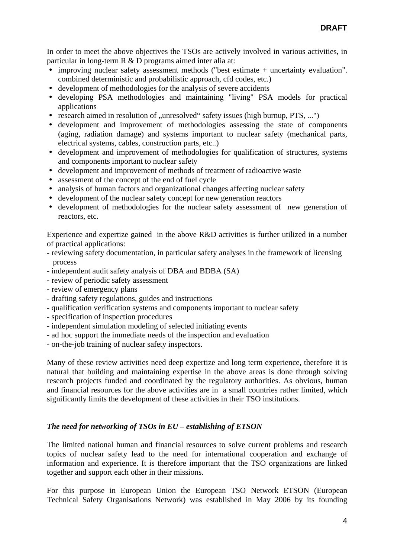In order to meet the above objectives the TSOs are actively involved in various activities, in particular in long-term R & D programs aimed inter alia at:

- improving nuclear safety assessment methods ("best estimate + uncertainty evaluation". combined deterministic and probabilistic approach, cfd codes, etc.)
- development of methodologies for the analysis of severe accidents
- y developing PSA methodologies and maintaining "living" PSA models for practical applications
- research aimed in resolution of "unresolved" safety issues (high burnup,  $PTS$ , ...")
- development and improvement of methodologies assessing the state of components (aging, radiation damage) and systems important to nuclear safety (mechanical parts, electrical systems, cables, construction parts, etc..)
- development and improvement of methodologies for qualification of structures, systems and components important to nuclear safety
- development and improvement of methods of treatment of radioactive waste
- assessment of the concept of the end of fuel cycle
- analysis of human factors and organizational changes affecting nuclear safety
- development of the nuclear safety concept for new generation reactors
- development of methodologies for the nuclear safety assessment of new generation of reactors, etc.

Experience and expertize gained in the above R&D activities is further utilized in a number of practical applications:

- reviewing safety documentation, in particular safety analyses in the framework of licensing process
- independent audit safety analysis of DBA and BDBA (SA)
- review of periodic safety assessment
- review of emergency plans
- drafting safety regulations, guides and instructions
- qualification verification systems and components important to nuclear safety
- specification of inspection procedures
- independent simulation modeling of selected initiating events
- ad hoc support the immediate needs of the inspection and evaluation
- on-the-job training of nuclear safety inspectors.

Many of these review activities need deep expertize and long term experience, therefore it is natural that building and maintaining expertise in the above areas is done through solving research projects funded and coordinated by the regulatory authorities. As obvious, human and financial resources for the above activities are in a small countries rather limited, which significantly limits the development of these activities in their TSO institutions.

# *The need for networking of TSOs in EU – establishing of ETSON*

The limited national human and financial resources to solve current problems and research topics of nuclear safety lead to the need for international cooperation and exchange of information and experience. It is therefore important that the TSO organizations are linked together and support each other in their missions.

For this purpose in European Union the European TSO Network ETSON (European Technical Safety Organisations Network) was established in May 2006 by its founding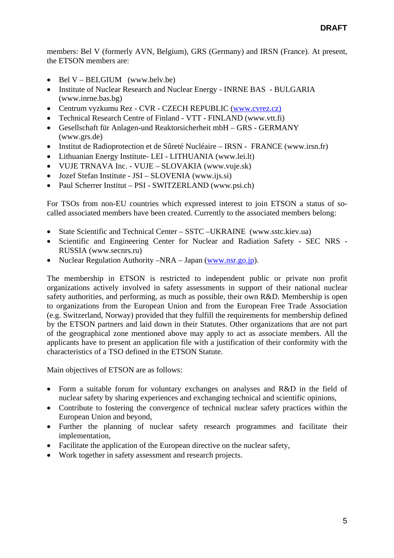members: Bel V (formerly AVN, Belgium), GRS (Germany) and IRSN (France). At present, the ETSON members are:

- Bel V BELGIUM (www.belv.be)
- Institute of Nuclear Research and Nuclear Energy INRNE BAS BULGARIA (www.inrne.bas.bg)
- Centrum vyzkumu Rez CVR CZECH REPUBLIC (www.cvrez.cz)
- Technical Research Centre of Finland VTT FINLAND (www.vtt.fi)
- Gesellschaft für Anlagen-und Reaktorsicherheit mbH GRS GERMANY (www.grs.de)
- Institut de Radioprotection et de Sûreté Nucléaire IRSN FRANCE (www.irsn.fr)
- Lithuanian Energy Institute- LEI LITHUANIA (www.lei.lt)
- VUJE TRNAVA Inc. VUJE SLOVAKIA (www.vuje.sk)
- Jozef Stefan Institute JSI SLOVENIA (www.ijs.si)
- Paul Scherrer Institut PSI SWITZERLAND (www.psi.ch)

For TSOs from non-EU countries which expressed interest to join ETSON a status of socalled associated members have been created. Currently to the associated members belong:

- State Scientific and Technical Center SSTC UKRAINE (www.sstc.kiev.ua)
- Scientific and Engineering Center for Nuclear and Radiation Safety SEC NRS RUSSIA (www.secnrs.ru)
- Nuclear Regulation Authority –NRA Japan (www.nsr.go.jp).

The membership in ETSON is restricted to independent public or private non profit organizations actively involved in safety assessments in support of their national nuclear safety authorities, and performing, as much as possible, their own R&D. Membership is open to organizations from the European Union and from the European Free Trade Association (e.g. Switzerland, Norway) provided that they fulfill the requirements for membership defined by the ETSON partners and laid down in their Statutes. Other organizations that are not part of the geographical zone mentioned above may apply to act as associate members. All the applicants have to present an application file with a justification of their conformity with the characteristics of a TSO defined in the ETSON Statute.

Main objectives of ETSON are as follows:

- Form a suitable forum for voluntary exchanges on analyses and R&D in the field of nuclear safety by sharing experiences and exchanging technical and scientific opinions,
- Contribute to fostering the convergence of technical nuclear safety practices within the European Union and beyond,
- Further the planning of nuclear safety research programmes and facilitate their implementation,
- Facilitate the application of the European directive on the nuclear safety,
- Work together in safety assessment and research projects.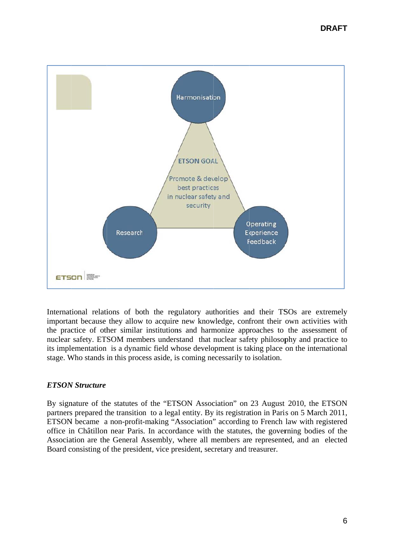

International relations of both the regulatory authorities and their TSOs are extremely important because they allow to acquire new knowledge, confront their own activities with the practice of other similar institutions and harmonize approaches to the assessment of nuclear safety. ETSOM members understand that nuclear safety philosophy and practice to its implementation is a dynamic field whose development is taking place on the international stage. Who stands in this process aside, is coming necessarily to isolation.

# **ETSON Structure**

By signature of the statutes of the "ETSON Association" on 23 August 2010, the ETSON partners prepared the transition to a legal entity. By its registration in Paris on 5 March 2011, ETSON became a non-profit-making "Association" according to French law with registered office in Châtillon near Paris. In accordance with the statutes, the governing bodies of the Association are the General Assembly, where all members are represented, and an elected Board consisting of the president, vice president, secretary and treasurer.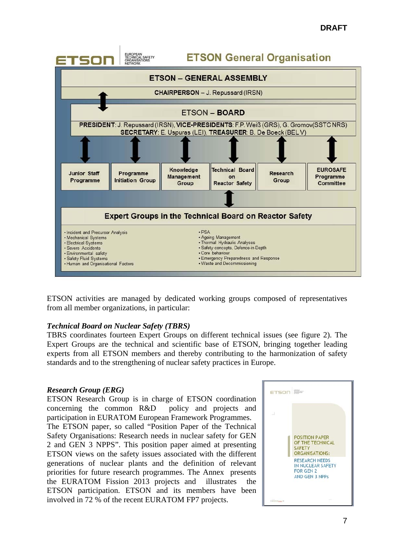

ETSON activities are managed by dedicated working groups composed of representatives from all member organizations, in particular:

#### *Technical Board on Nuclear Safety (TBRS)*

TBRS coordinates fourteen Expert Groups on different technical issues (see figure 2). The Expert Groups are the technical and scientific base of ETSON, bringing together leading experts from all ETSON members and thereby contributing to the harmonization of safety standards and to the strengthening of nuclear safety practices in Europe.

#### *Research Group (ERG)*

ETSON Research Group is in charge of ETSON coordination concerning the common R&D policy and projects and participation in EURATOM European Framework Programmes. The ETSON paper, so called "Position Paper of the Technical Safety Organisations: Research needs in nuclear safety for GEN 2 and GEN 3 NPPS". This position paper aimed at presenting ETSON views on the safety issues associated with the different generations of nuclear plants and the definition of relevant priorities for future research programmes. The Annex presents the EURATOM Fission 2013 projects and illustrates the ETSON participation. ETSON and its members have been involved in 72 % of the recent EURATOM FP7 projects.

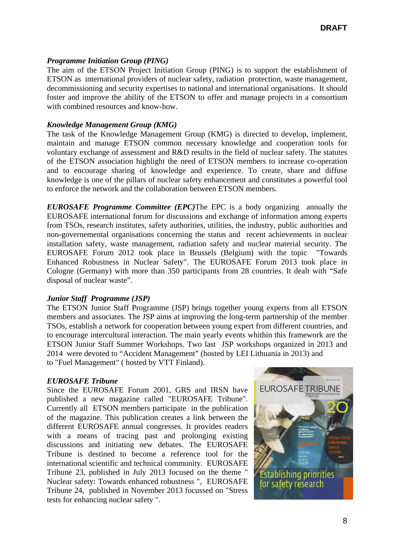#### *Programme Initiation Group (PING)*

The aim of the ETSON Project Initiation Group (PING) is to support the establishment of ETSON as international providers of nuclear safety, radiation protection, waste management, decommissioning and security expertises to national and international organisations. It should foster and improve the ability of the ETSON to offer and manage projects in a consortium with combined resources and know-how.

#### *Knowledge Management Group (KMG)*

The task of the Knowledge Management Group (KMG) is directed to develop, implement, maintain and manage ETSON common necessary knowledge and cooperation tools for voluntary exchange of assessment and R&D results in the field of nuclear safety. The statutes of the ETSON association highlight the need of ETSON members to increase co-operation and to encourage sharing of knowledge and experience. To create, share and diffuse knowledge is one of the pillars of nuclear safety enhancement and constitutes a powerful tool to enforce the network and the collaboration between ETSON members.

*EUROSAFE Programme Committee (EPC)*The EPC is a body organizing annually the EUROSAFE international forum for discussions and exchange of information among experts from TSOs, research institutes, safety authorities, utilities, the industry, public authorities and non-governemental organisations concerning the status and recent achievements in nuclear installation safety, waste management, radiation safety and nuclear material security. The EUROSAFE Forum 2012 took place in Brussels (Belgium) with the topic "Towards Enhanced Robustness in Nuclear Safety". The EUROSAFE Forum 2013 took place in Cologne (Germany) with more than 350 participants from 28 countries. It dealt with "Safe disposal of nuclear waste".

#### *Junior Staff Programme (JSP)*

The ETSON Junior Staff Programme (JSP) brings together young experts from all ETSON members and associates. The JSP aims at improving the long-term partnership of the member TSOs, establish a network for cooperation between young expert from different countries, and to encourage intercultural interaction. The main yearly events whithin this framework are the ETSON Junior Staff Summer Workshops. Two last JSP workshops organized in 2013 and 2014 were devoted to "Accident Management" (hosted by LEI Lithuania in 2013) and to "Fuel Management" ( hosted by VTT Finland).

#### *EUROSAFE Tribune*

Since the EUROSAFE Forum 2001, GRS and IRSN have published a new magazine called "EUROSAFE Tribune". Currently all ETSON members participate in the publication of the magazine. This publication creates a link between the different EUROSAFE annual congresses. It provides readers with a means of tracing past and prolonging existing discussions and initiating new debates. The EUROSAFE Tribune is destined to become a reference tool for the international scientific and technical community. EUROSAFE Tribune 23, published in July 2013 focused on the theme " Nuclear safety: Towards enhanced robustness ", EUROSAFE Tribune 24, published in November 2013 focussed on "Stress tests for enhancing nuclear safety ".

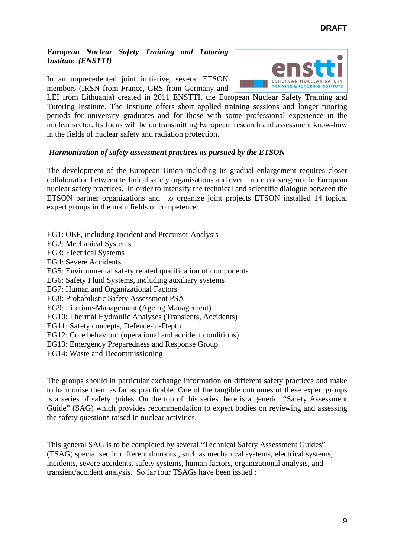### *European Nuclear Safety Training and Tutoring Institute (ENSTTI)*

In an unprecedented joint initiative, several ETSON members (IRSN from France, GRS from Germany and



LEI from Lithuania) created in 2011 ENSTTI, the European Nuclear Safety Training and Tutoring Institute. The Institute offers short applied training sessions and longer tutoring periods for university graduates and for those with some professional experience in the nuclear sector. Its focus will be on transmitting European research and assessment know-how in the fields of nuclear safety and radiation protection.

# *Harmonization of safety assessment practices as pursued by the ETSON*

The development of the European Union including its gradual enlargement requires closer collaboration between technical safety organisations and even more convergence in European nuclear safety practices. In order to intensify the technical and scientific dialogue between the ETSON partner organizations and to organize joint projects ETSON installed 14 topical expert groups in the main fields of competence:

- EG1: OEF, including Incident and Precursor Analysis
- EG2: Mechanical Systems
- EG3: Electrical Systems
- EG4: Severe Accidents
- EG5: Environmental safety related qualification of components
- EG6: Safety Fluid Systems, including auxiliary systems
- EG7: Human and Organizational Factors
- EG8: Probabilistic Safety Assessment PSA
- EG9: Lifetime-Management (Ageing Management)
- EG10: Thermal Hydraulic Analyses (Transients, Accidents)
- EG11: Safety concepts, Defence-in-Depth
- EG12: Core behaviour (operational and accident conditions)
- EG13: Emergency Preparedness and Response Group
- EG14: Waste and Decommissioning

The groups should in particular exchange information on different safety practices and make to harmonise them as far as practicable. One of the tangible outcomes of these expert groups is a series of safety guides. On the top of this series there is a generic "Safety Assessment Guide" (SAG) which provides recommendation to expert bodies on reviewing and assessing the safety questions raised in nuclear activities.

This general SAG is to be completed by several "Technical Safety Assessment Guides" (TSAG) specialised in different domains., such as mechanical systems, electrical systems, incidents, severe accidents, safety systems, human factors, organizational analysis, and transient/accident analysis. So far four TSAGs have been issued :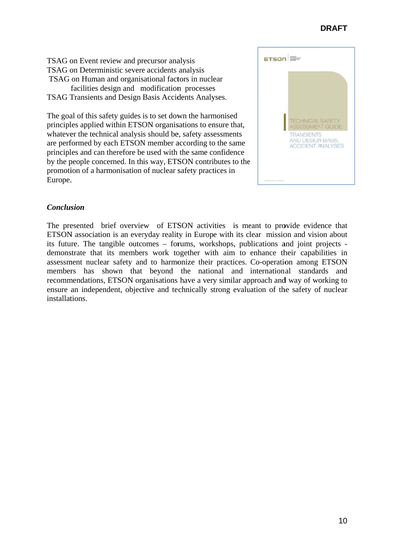# **DRAFT**

TSAG on Event review and precursor analysis TSAG on Deterministic severe accidents analysis TSAG on Human and organisational factors in nuclear facilities design and modification processes TSAG Transients and Design Basis Accidents Analyses.

The goal of this safety guides is to set down the harmonised principles applied within ETSON organisations to ensure that, whatever the technical analysis should be, safety assessments are performed by each ETSON member according to the same principles and can therefore be used with the same confidence by the people concerned. In this way, ETSON contributes to the promotion of a harmonisation of nuclear safety practices in Europe.



# **Conclusion**

The presented brief overview of ETSON activities is meant to provide evidence that ETSON association is an everyday reality in Europe with its clear mission and vision about its future. The tangible outcomes – forums, workshops, publications and joint projects demonstrate that its members work together with aim to enhance their capabilities in assessment nuclear safety and to harmonize their practices. Co-operation among ETSON members has shown that beyond the national and international standards and recommendations, ETSON organisations have a very similar approach and way of working to ensure an independent, objective and technically strong evaluation of the safety of nuclear installations.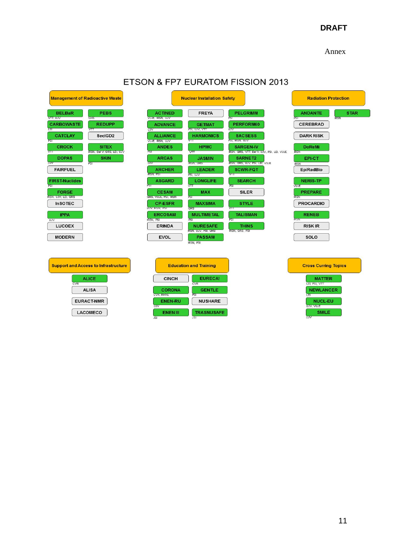# **DRAFT**

Annex

| <b>Management of Radioactive Waste</b>                                   | <b>Nuclear Installation Safety</b>                |                                              |                                                              | <b>Radiation Protection</b>                        |
|--------------------------------------------------------------------------|---------------------------------------------------|----------------------------------------------|--------------------------------------------------------------|----------------------------------------------------|
| <b>PEBS</b><br><b>BELBaR</b><br>VTT. UJV<br>GRS                          | <b>ACTINED</b><br>VUJE, IRSN, UJV                 | <b>FREYA</b>                                 | <b>PELGRIMM</b><br>ĎЧ                                        | <b>STAR</b><br><b>ANDANTE</b><br><b>RSN</b><br>PST |
| <b>CARBOWASTE</b><br><b>REDUPP</b><br><b>TET</b><br>$\sqrt{11}$          | <b>ADVANCE</b><br><b>U.IV</b>                     | <b>GETMAT</b><br>PSI, UJV, VTT               | PERFORM60<br>UJV                                             | <b>CEREBRAD</b>                                    |
| <b>CATCLAY</b><br>SecIGD <sub>2</sub><br>PST                             | <b>ALLIANCE</b><br>$\sqrt{11}$<br>VUJE, IRSN, UJV | <b>HARMONICS</b>                             | <b>SACSESS</b><br>PSI, IRSN, UJV                             | <b>DARK RISK</b>                                   |
| <b>SITEX</b><br><b>CROCK</b><br>$\sqrt{11}$<br>RSN, Bel V, GRS, LEI, UJV | <b>ANDES</b><br>PST                               | <b>HPMC</b><br>VΠ                            | <b>SARGEN-IV</b><br>RSN, GRS, VTT, BelV, UJV, PSI, LEI, VUJE | <b>DoReMi</b><br><b>IRSN</b>                       |
| <b>DOPAS</b><br><b>SKIN</b><br>UJV<br>PSI                                | <b>ARCAS</b><br>UJV                               | <b>JASMIN</b><br><b>IRSN GRS</b>             | <b>SARNET2</b><br>RSN, GRS, UJV, PSI, LEI, VUJE              | EPI-CT<br><b>IRSN</b>                              |
| <b>FAIRFUEL</b>                                                          | <b>ARCHER</b><br><b>IRSN, PSI</b>                 | <b>LEADER</b><br>PSI, UJV                    | <b>SCWR-FQT</b><br>$\overline{\text{v}}$                     | <b>EpiRadBio</b>                                   |
| <b>FIRST-Nuclides</b><br>PST                                             | <b>ASGARD</b><br>PST<br>$\sqrt{11}$               | <b>LONGLIFE</b>                              | <b>SEARCH</b><br>PST                                         | <b>NERIS-TP</b><br><b>VUJE</b>                     |
| <b>FORGE</b><br><b>IRSN. UJV. LEI, GRS</b>                               | <b>CESAM</b><br>PST<br>GRS, VUJE, PSI, IRSN       | <b>MAX</b>                                   | <b>SILER</b>                                                 | <b>PREPARE</b><br><b>RSN</b>                       |
| <b>InSOTEC</b>                                                           | <b>CP-ESFR</b><br>UJV. IRSN. PSI<br>GRS           | <b>MAXSIMA</b>                               | <b>STYLE</b>                                                 | <b>PROCARDIO</b>                                   |
| <b>IPPA</b><br>UJV                                                       | <b>ERCOSAM</b><br>PSI<br><b>IRSN, PSI</b>         | <b>MULTIMETAL</b>                            | <b>TALISMAN</b><br>PST                                       | <b>RENEB</b><br><b>RSN</b>                         |
| <b>LUCOEX</b>                                                            | <b>ERINDA</b>                                     | <b>NURESAFE</b><br><b>RSN, UJV, PSI, GRS</b> | <b>THINS</b><br><b>IRSN, GRS, PSI</b>                        | <b>RISK IR</b>                                     |
| <b>MODERN</b>                                                            | <b>EVOL</b>                                       | <b>PASSAM</b><br><b>IRSN, PSI</b>            |                                                              | SOLO                                               |
|                                                                          |                                                   |                                              |                                                              |                                                    |
| <b>Support and Access to Infrastructure</b>                              | <b>Education and Training</b>                     |                                              |                                                              | <b>Cross Curring Topics</b>                        |
| <b>ALICE</b><br>CVR                                                      | <b>CINCH</b>                                      | <b>EURECA!</b><br><b>CVR</b>                 |                                                              | <b>MATTER</b><br>LEI, PSI, VTT                     |
| <b>ALISA</b>                                                             | <b>CORONA</b><br><b>CVR, INRNE</b>                | <b>GENTLE</b><br>PST                         |                                                              | <b>NEWLANCER</b><br><b>TET</b>                     |
| <b>EURACT-NMR</b>                                                        | <b>ENEN-RU</b><br><b>U.V</b>                      | <b>NUSHARE</b>                               |                                                              | <b>NUCL-EU</b><br><b>UJV, VUJE</b>                 |
| <b>LACOMECO</b>                                                          | <b>ENEN III</b><br>JSI                            | <b>TRASNUSAFE</b><br>$\overline{151}$        |                                                              | <b>SMILE</b><br>UJV                                |

# ETSON & FP7 EURATOM FISSION 2013